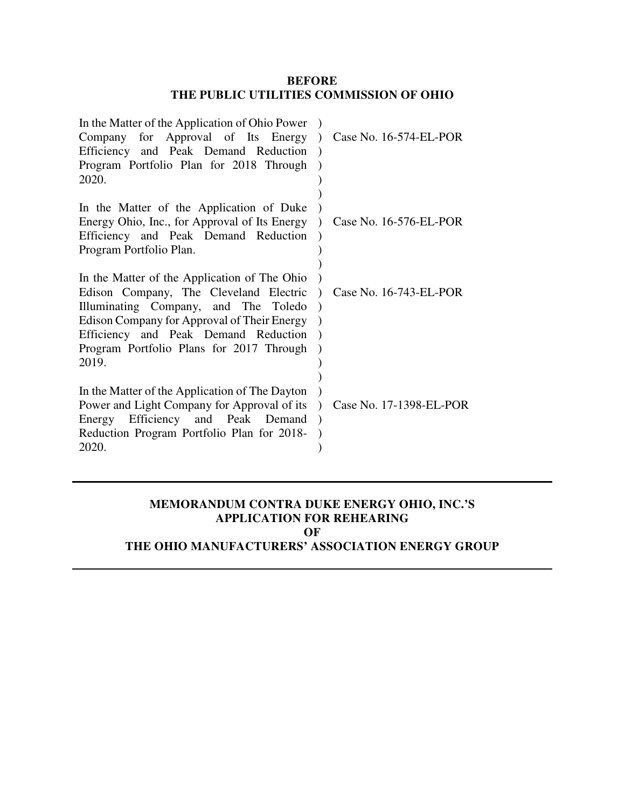## **BEFORE THE PUBLIC UTILITIES COMMISSION OF OHIO**

| In the Matter of the Application of Ohio Power<br>Company for Approval of Its Energy<br>Efficiency and Peak Demand Reduction<br>Program Portfolio Plan for 2018 Through<br>2020.                                                                                           | $\lambda$ | Case No. 16-574-EL-POR  |
|----------------------------------------------------------------------------------------------------------------------------------------------------------------------------------------------------------------------------------------------------------------------------|-----------|-------------------------|
| In the Matter of the Application of Duke<br>Energy Ohio, Inc., for Approval of Its Energy<br>Efficiency and Peak Demand Reduction<br>Program Portfolio Plan.                                                                                                               |           | Case No. 16-576-EL-POR  |
| In the Matter of the Application of The Ohio<br>Edison Company, The Cleveland Electric<br>Illuminating Company, and The Toledo<br>Edison Company for Approval of Their Energy<br>Efficiency and Peak Demand Reduction<br>Program Portfolio Plans for 2017 Through<br>2019. |           | Case No. 16-743-EL-POR  |
| In the Matter of the Application of The Dayton<br>Power and Light Company for Approval of its<br>Energy Efficiency and Peak Demand<br>Reduction Program Portfolio Plan for 2018-<br>2020.                                                                                  |           | Case No. 17-1398-EL-POR |

## **MEMORANDUM CONTRA DUKE ENERGY OHIO, INC.'S APPLICATION FOR REHEARING OF**

# **THE OHIO MANUFACTURERS' ASSOCIATION ENERGY GROUP**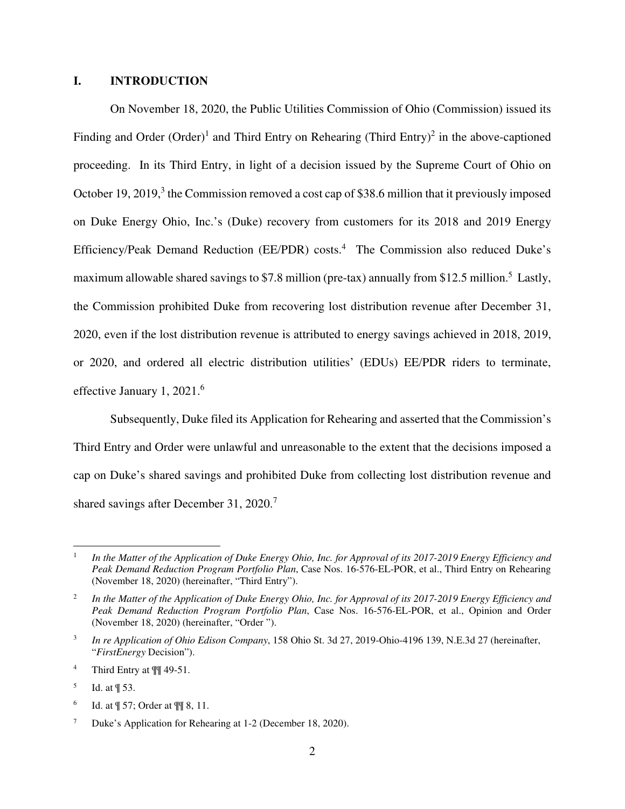### **I. INTRODUCTION**

On November 18, 2020, the Public Utilities Commission of Ohio (Commission) issued its Finding and Order (Order)<sup>1</sup> and Third Entry on Rehearing (Third Entry)<sup>2</sup> in the above-captioned proceeding. In its Third Entry, in light of a decision issued by the Supreme Court of Ohio on October 19, 2019, $3$  the Commission removed a cost cap of \$38.6 million that it previously imposed on Duke Energy Ohio, Inc.'s (Duke) recovery from customers for its 2018 and 2019 Energy Efficiency/Peak Demand Reduction (EE/PDR) costs.<sup>4</sup> The Commission also reduced Duke's maximum allowable shared savings to \$7.8 million (pre-tax) annually from \$12.5 million.<sup>5</sup> Lastly, the Commission prohibited Duke from recovering lost distribution revenue after December 31, 2020, even if the lost distribution revenue is attributed to energy savings achieved in 2018, 2019, or 2020, and ordered all electric distribution utilities' (EDUs) EE/PDR riders to terminate, effective January 1, 2021.<sup>6</sup>

Subsequently, Duke filed its Application for Rehearing and asserted that the Commission's Third Entry and Order were unlawful and unreasonable to the extent that the decisions imposed a cap on Duke's shared savings and prohibited Duke from collecting lost distribution revenue and shared savings after December 31, 2020.<sup>7</sup>

<sup>1</sup> *In the Matter of the Application of Duke Energy Ohio, Inc. for Approval of its 2017-2019 Energy Efficiency and Peak Demand Reduction Program Portfolio Plan*, Case Nos. 16-576-EL-POR, et al., Third Entry on Rehearing (November 18, 2020) (hereinafter, "Third Entry").

<sup>2</sup> *In the Matter of the Application of Duke Energy Ohio, Inc. for Approval of its 2017-2019 Energy Efficiency and Peak Demand Reduction Program Portfolio Plan*, Case Nos. 16-576-EL-POR, et al., Opinion and Order (November 18, 2020) (hereinafter, "Order ").

<sup>3</sup> *In re Application of Ohio Edison Company*, 158 Ohio St. 3d 27, 2019-Ohio-4196 139, N.E.3d 27 (hereinafter, "*FirstEnergy* Decision").

<sup>4</sup> Third Entry at ¶¶ 49-51.

<sup>5</sup> Id. at ¶ 53.

<sup>6</sup> Id. at ¶ 57; Order at ¶¶ 8, 11.

<sup>7</sup> Duke's Application for Rehearing at 1-2 (December 18, 2020).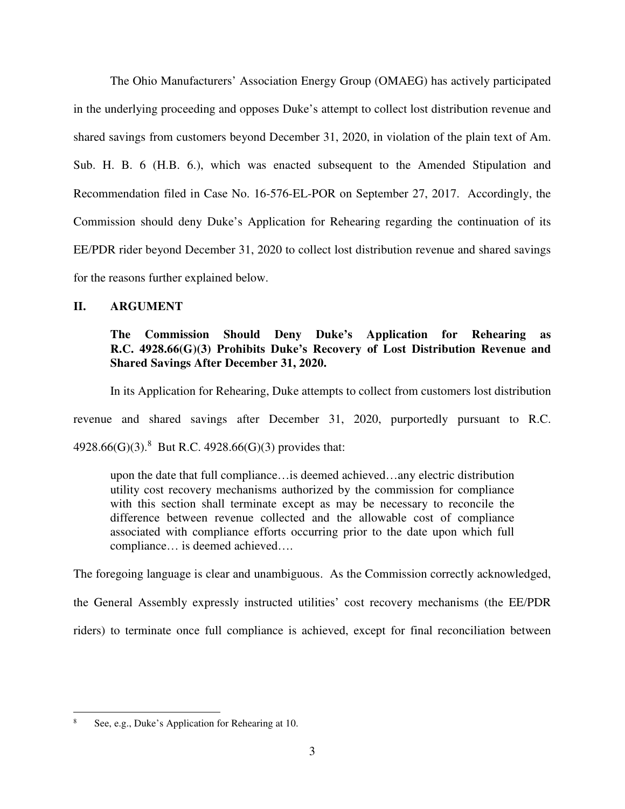The Ohio Manufacturers' Association Energy Group (OMAEG) has actively participated in the underlying proceeding and opposes Duke's attempt to collect lost distribution revenue and shared savings from customers beyond December 31, 2020, in violation of the plain text of Am. Sub. H. B. 6 (H.B. 6.), which was enacted subsequent to the Amended Stipulation and Recommendation filed in Case No. 16-576-EL-POR on September 27, 2017. Accordingly, the Commission should deny Duke's Application for Rehearing regarding the continuation of its EE/PDR rider beyond December 31, 2020 to collect lost distribution revenue and shared savings for the reasons further explained below.

## **II. ARGUMENT**

# **The Commission Should Deny Duke's Application for Rehearing as R.C. 4928.66(G)(3) Prohibits Duke's Recovery of Lost Distribution Revenue and Shared Savings After December 31, 2020.**

In its Application for Rehearing, Duke attempts to collect from customers lost distribution revenue and shared savings after December 31, 2020, purportedly pursuant to R.C.

4928.66(G)(3).<sup>8</sup> But R.C. 4928.66(G)(3) provides that:

upon the date that full compliance…is deemed achieved…any electric distribution utility cost recovery mechanisms authorized by the commission for compliance with this section shall terminate except as may be necessary to reconcile the difference between revenue collected and the allowable cost of compliance associated with compliance efforts occurring prior to the date upon which full compliance… is deemed achieved….

The foregoing language is clear and unambiguous. As the Commission correctly acknowledged,

the General Assembly expressly instructed utilities' cost recovery mechanisms (the EE/PDR

riders) to terminate once full compliance is achieved, except for final reconciliation between

<sup>8</sup> See, e.g., Duke's Application for Rehearing at 10.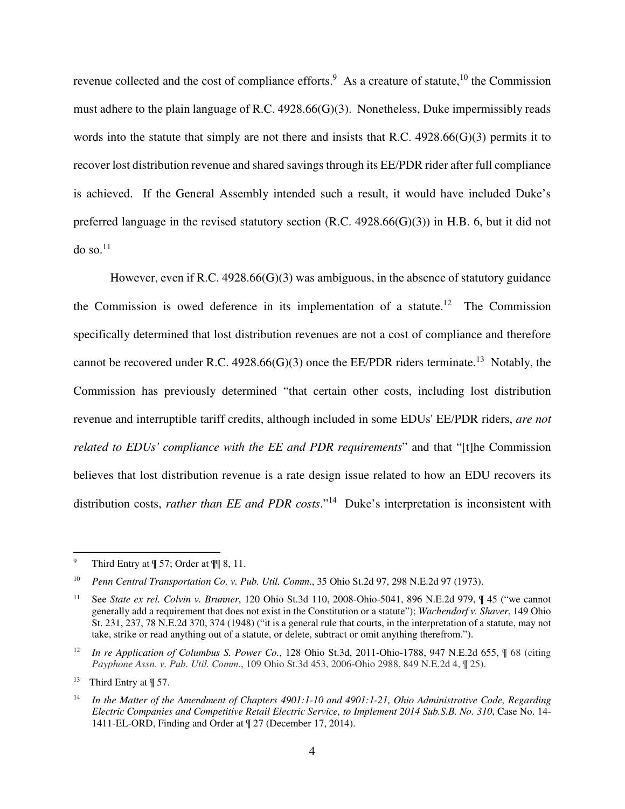revenue collected and the cost of compliance efforts.<sup>9</sup> As a creature of statute,  $10$  the Commission must adhere to the plain language of R.C. 4928.66(G)(3). Nonetheless, Duke impermissibly reads words into the statute that simply are not there and insists that R.C. 4928.66(G)(3) permits it to recover lost distribution revenue and shared savings through its EE/PDR rider after full compliance is achieved. If the General Assembly intended such a result, it would have included Duke's preferred language in the revised statutory section (R.C. 4928.66(G)(3)) in H.B. 6, but it did not do so. $^{11}$ 

However, even if R.C.  $4928.66(G)(3)$  was ambiguous, in the absence of statutory guidance the Commission is owed deference in its implementation of a statute.<sup>12</sup> The Commission specifically determined that lost distribution revenues are not a cost of compliance and therefore cannot be recovered under R.C. 4928.66(G)(3) once the EE/PDR riders terminate.<sup>13</sup> Notably, the Commission has previously determined "that certain other costs, including lost distribution revenue and interruptible tariff credits, although included in some EDUs' EE/PDR riders, *are not related to EDUs' compliance with the EE and PDR requirements*" and that "[t]he Commission believes that lost distribution revenue is a rate design issue related to how an EDU recovers its distribution costs, *rather than EE and PDR costs*."<sup>14</sup> Duke's interpretation is inconsistent with

<sup>&</sup>lt;sup>9</sup> Third Entry at  $\P$  57; Order at  $\P$  8, 11.

<sup>10</sup> *Penn Central Transportation Co. v. Pub. Util. Comm*., 35 Ohio St.2d 97, 298 N.E.2d 97 (1973).

<sup>11</sup> See *State ex rel. Colvin v. Brunner*, 120 Ohio St.3d 110, 2008-Ohio-5041, 896 N.E.2d 979, ¶ 45 ("we cannot generally add a requirement that does not exist in the Constitution or a statute"); *Wachendorf v. Shaver*, 149 Ohio St. 231, 237, 78 N.E.2d 370, 374 (1948) ("it is a general rule that courts, in the interpretation of a statute, may not take, strike or read anything out of a statute, or delete, subtract or omit anything therefrom.").

<sup>&</sup>lt;sup>12</sup> In re Application of Columbus S. Power Co., 128 Ohio St.3d, 2011-Ohio-1788, 947 N.E.2d 655, ¶ 68 (citing *Payphone Assn*. *v. Pub. Util. Comm*., 109 Ohio St.3d 453, 2006-Ohio 2988, 849 N.E.2d 4, ¶ 25).

<sup>13</sup> Third Entry at ¶ 57.

<sup>14</sup> *In the Matter of the Amendment of Chapters 4901:1-10 and 4901:1-21, Ohio Administrative Code, Regarding Electric Companies and Competitive Retail Electric Service, to Implement 2014 Sub.S.B. No. 310*, Case No. 14- 1411-EL-ORD, Finding and Order at ¶ 27 (December 17, 2014).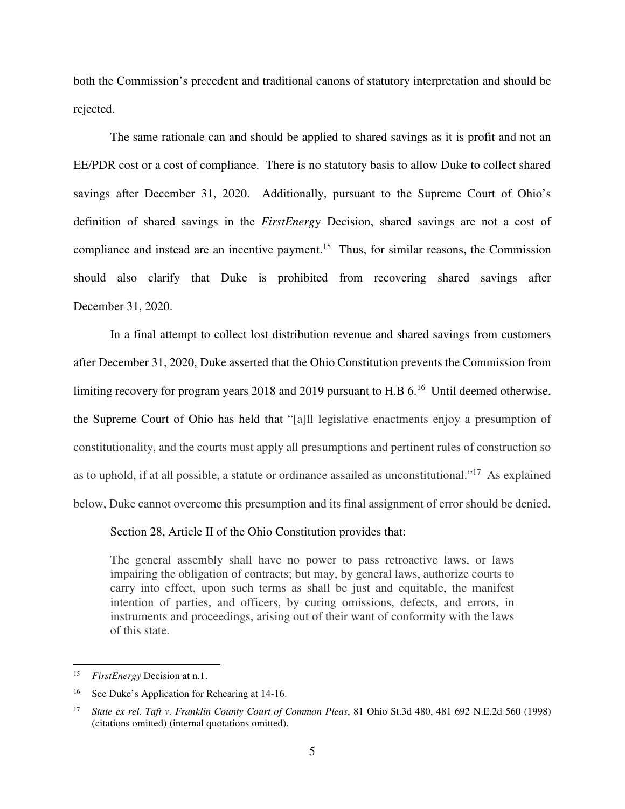both the Commission's precedent and traditional canons of statutory interpretation and should be rejected.

The same rationale can and should be applied to shared savings as it is profit and not an EE/PDR cost or a cost of compliance. There is no statutory basis to allow Duke to collect shared savings after December 31, 2020. Additionally, pursuant to the Supreme Court of Ohio's definition of shared savings in the *FirstEnerg*y Decision, shared savings are not a cost of compliance and instead are an incentive payment.<sup>15</sup> Thus, for similar reasons, the Commission should also clarify that Duke is prohibited from recovering shared savings after December 31, 2020.

In a final attempt to collect lost distribution revenue and shared savings from customers after December 31, 2020, Duke asserted that the Ohio Constitution prevents the Commission from limiting recovery for program years 2018 and 2019 pursuant to H.B  $6<sup>16</sup>$  Until deemed otherwise, the Supreme Court of Ohio has held that "[a]ll legislative enactments enjoy a presumption of constitutionality, and the courts must apply all presumptions and pertinent rules of construction so as to uphold, if at all possible, a statute or ordinance assailed as unconstitutional."<sup>17</sup> As explained below, Duke cannot overcome this presumption and its final assignment of error should be denied.

Section 28, Article II of the Ohio Constitution provides that:

The general assembly shall have no power to pass retroactive laws, or laws impairing the obligation of contracts; but may, by general laws, authorize courts to carry into effect, upon such terms as shall be just and equitable, the manifest intention of parties, and officers, by curing omissions, defects, and errors, in instruments and proceedings, arising out of their want of conformity with the laws of this state.

<sup>15</sup> *FirstEnergy* Decision at n.1.

See Duke's Application for Rehearing at 14-16.

<sup>17</sup> *State ex rel. Taft v. Franklin County Court of Common Pleas*, 81 Ohio St.3d 480, 481 692 N.E.2d 560 (1998) (citations omitted) (internal quotations omitted).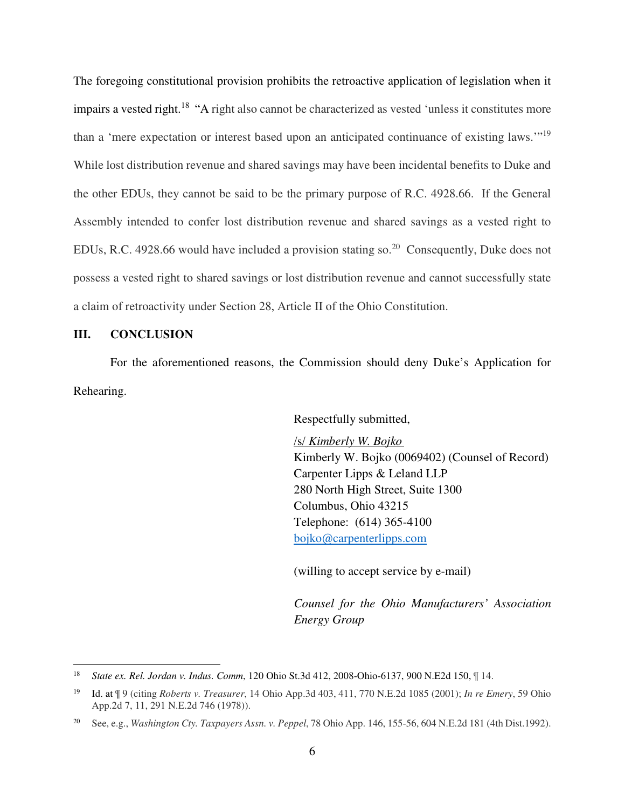The foregoing constitutional provision prohibits the retroactive application of legislation when it impairs a vested right.<sup>18</sup> "A right also cannot be characterized as vested 'unless it constitutes more than a 'mere expectation or interest based upon an anticipated continuance of existing laws."<sup>19</sup> While lost distribution revenue and shared savings may have been incidental benefits to Duke and the other EDUs, they cannot be said to be the primary purpose of R.C. 4928.66. If the General Assembly intended to confer lost distribution revenue and shared savings as a vested right to EDUs, R.C. 4928.66 would have included a provision stating so.<sup>20</sup> Consequently, Duke does not possess a vested right to shared savings or lost distribution revenue and cannot successfully state a claim of retroactivity under Section 28, Article II of the Ohio Constitution.

#### **III. CONCLUSION**

 $\overline{a}$ 

For the aforementioned reasons, the Commission should deny Duke's Application for Rehearing.

Respectfully submitted,

/s/ *Kimberly W. Bojko* Kimberly W. Bojko (0069402) (Counsel of Record) Carpenter Lipps & Leland LLP 280 North High Street, Suite 1300 Columbus, Ohio 43215 Telephone: (614) 365-4100 bojko@carpenterlipps.com

(willing to accept service by e-mail)

*Counsel for the Ohio Manufacturers' Association Energy Group* 

<sup>18</sup> *State ex. Rel. Jordan v. Indus. Comm*, 120 Ohio St.3d 412, 2008-Ohio-6137, 900 N.E2d 150, ¶ 14.

<sup>19</sup> Id. at ¶ 9 (citing *Roberts v. Treasurer*, 14 Ohio App.3d 403, 411, 770 N.E.2d 1085 (2001); *In re Emery*, 59 Ohio App.2d 7, 11, 291 N.E.2d 746 (1978)).

<sup>20</sup> See, e.g., *Washington Cty. Taxpayers Assn. v. Peppel*, 78 Ohio App. 146, 155-56, 604 N.E.2d 181 (4th Dist.1992).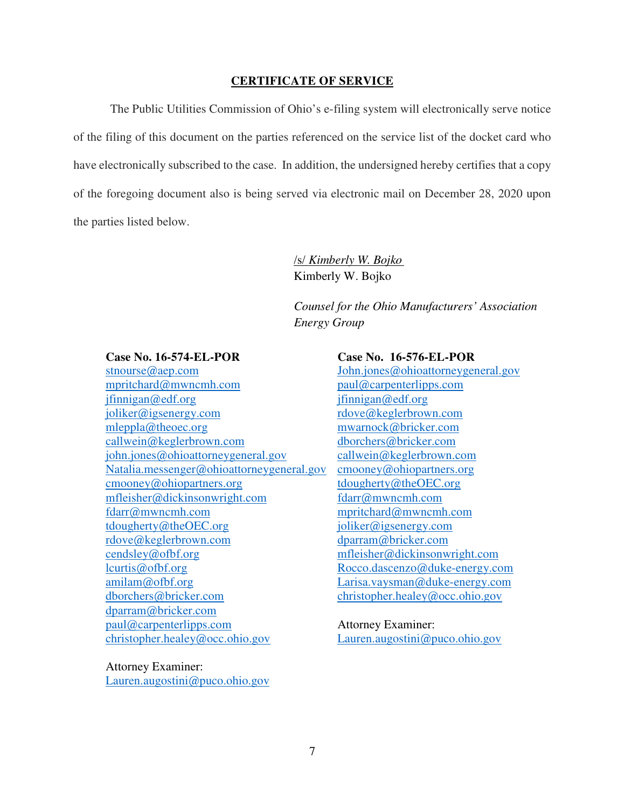#### **CERTIFICATE OF SERVICE**

The Public Utilities Commission of Ohio's e-filing system will electronically serve notice of the filing of this document on the parties referenced on the service list of the docket card who have electronically subscribed to the case. In addition, the undersigned hereby certifies that a copy of the foregoing document also is being served via electronic mail on December 28, 2020 upon the parties listed below.

> /s/ *Kimberly W. Bojko* Kimberly W. Bojko

*Counsel for the Ohio Manufacturers' Association Energy Group* 

#### **Case No. 16-574-EL-POR**

stnourse@aep.com mpritchard@mwncmh.com jfinnigan@edf.org joliker@igsenergy.com mleppla@theoec.org callwein@keglerbrown.com john.jones@ohioattorneygeneral.gov Natalia.messenger@ohioattorneygeneral.gov cmooney@ohiopartners.org mfleisher@dickinsonwright.com fdarr@mwncmh.com tdougherty@theOEC.org rdove@keglerbrown.com cendsley@ofbf.org lcurtis@ofbf.org amilam@ofbf.org dborchers@bricker.com dparram@bricker.com paul@carpenterlipps.com christopher.healey@occ.ohio.gov

**Case No. 16-576-EL-POR**  John.jones@ohioattorneygeneral.gov paul@carpenterlipps.com jfinnigan@edf.org rdove@keglerbrown.com mwarnock@bricker.com dborchers@bricker.com callwein@keglerbrown.com cmooney@ohiopartners.org tdougherty@theOEC.org fdarr@mwncmh.com mpritchard@mwncmh.com joliker@igsenergy.com dparram@bricker.com mfleisher@dickinsonwright.com Rocco.dascenzo@duke-energy.com Larisa.vaysman@duke-energy.com christopher.healey@occ.ohio.gov

Attorney Examiner: Lauren.augostini@puco.ohio.gov

Attorney Examiner:

Lauren.augostini@puco.ohio.gov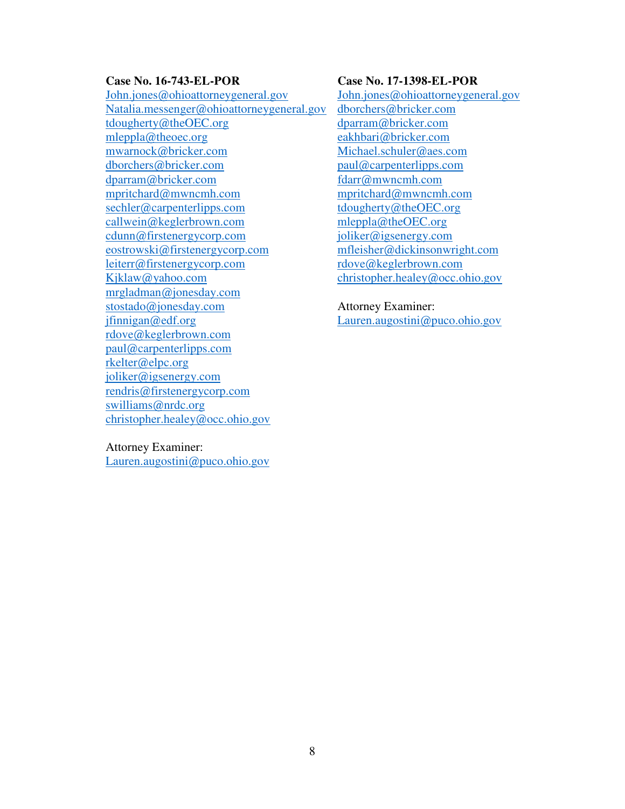## **Case No. 16-743-EL-POR**

John.jones@ohioattorneygeneral.gov Natalia.messenger@ohioattorneygeneral.gov tdougherty@theOEC.org mleppla@theoec.org mwarnock@bricker.com dborchers@bricker.com dparram@bricker.com mpritchard@mwncmh.com sechler@carpenterlipps.com callwein@keglerbrown.com cdunn@firstenergycorp.com eostrowski@firstenergycorp.com leiterr@firstenergycorp.com Kjklaw@yahoo.com mrgladman@jonesday.com stostado@jonesday.com jfinnigan@edf.org rdove@keglerbrown.com paul@carpenterlipps.com rkelter@elpc.org joliker@igsenergy.com rendris@firstenergycorp.com swilliams@nrdc.org christopher.healey@occ.ohio.gov

#### **Case No. 17-1398-EL-POR**

John.jones@ohioattorneygeneral.gov dborchers@bricker.com dparram@bricker.com eakhbari@bricker.com Michael.schuler@aes.com paul@carpenterlipps.com fdarr@mwncmh.com mpritchard@mwncmh.com tdougherty@theOEC.org mleppla@theOEC.org joliker@igsenergy.com mfleisher@dickinsonwright.com rdove@keglerbrown.com christopher.healey@occ.ohio.gov

Attorney Examiner: Lauren.augostini@puco.ohio.gov

#### Attorney Examiner:

Lauren.augostini@puco.ohio.gov